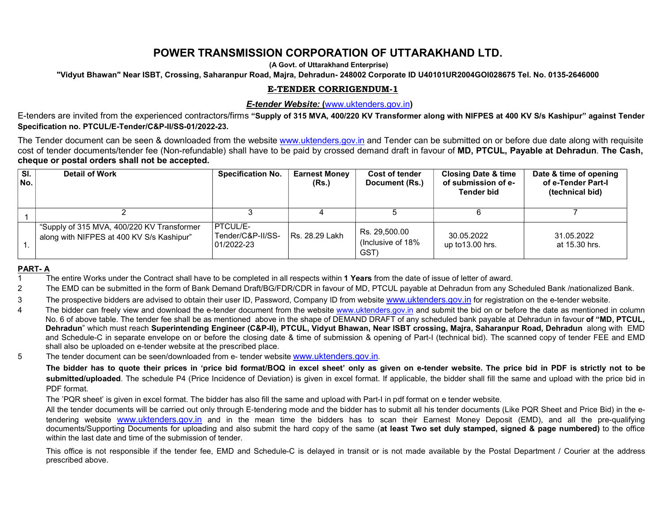# POWER TRANSMISSION CORPORATION OF UTTARAKHAND LTD.

(A Govt. of Uttarakhand Enterprise)

"Vidyut Bhawan" Near ISBT, Crossing, Saharanpur Road, Majra, Dehradun- 248002 Corporate ID U40101UR2004GOI028675 Tel. No. 0135-2646000

## E-TENDER CORRIGENDUM-1

## E-tender Website: (www.uktenders.gov.in)

E-tenders are invited from the experienced contractors/firms "Supply of 315 MVA, 400/220 KV Transformer along with NIFPES at 400 KV S/s Kashipur" against Tender Specification no. PTCUL/E-Tender/C&P-II/SS-01/2022-23.

 The Tender document can be seen & downloaded from the website www.uktenders.gov.in and Tender can be submitted on or before due date along with requisite cost of tender documents/tender fee (Non-refundable) shall have to be paid by crossed demand draft in favour of MD, PTCUL, Payable at Dehradun. The Cash, cheque or postal orders shall not be accepted.

| $\overline{\mathsf{SI}.}$<br>No. | <b>Detail of Work</b>                                                                   | <b>Specification No.</b>                            | <b>Earnest Monev</b><br>(Rs.) | <b>Cost of tender</b><br>Document (Rs.)    | <b>Closing Date &amp; time</b><br>of submission of e-<br><b>Tender bid</b> | Date & time of opening<br>of e-Tender Part-I<br>(technical bid) |
|----------------------------------|-----------------------------------------------------------------------------------------|-----------------------------------------------------|-------------------------------|--------------------------------------------|----------------------------------------------------------------------------|-----------------------------------------------------------------|
|                                  |                                                                                         |                                                     |                               |                                            |                                                                            |                                                                 |
|                                  | "Supply of 315 MVA, 400/220 KV Transformer<br>along with NIFPES at 400 KV S/s Kashipur" | <b>IPTCUL/E-</b><br>Tender/C&P-II/SS-<br>01/2022-23 | <b>Rs. 28.29 Lakh</b>         | Rs. 29,500.00<br>(Inclusive of 18%)<br>GST | 30.05.2022<br>up to 13.00 hrs.                                             | 31.05.2022<br>at 15.30 hrs.                                     |

### PART- A

The entire Works under the Contract shall have to be completed in all respects within 1 Years from the date of issue of letter of award.

2 The EMD can be submitted in the form of Bank Demand Draft/BG/FDR/CDR in favour of MD, PTCUL payable at Dehradun from any Scheduled Bank /nationalized Bank.

3 The prospective bidders are advised to obtain their user ID, Password, Company ID from website www.uktenders.gov.in for registration on the e-tender website.

- 4 The bidder can freely view and download the e-tender document from the website www.uktenders.gov.in and submit the bid on or before the date as mentioned in column No. 6 of above table. The tender fee shall be as mentioned above in the shape of DEMAND DRAFT of any scheduled bank payable at Dehradun in favour of "MD, PTCUL, Dehradun" which must reach Superintending Engineer (C&P-II), PTCUL, Vidyut Bhawan, Near ISBT crossing, Majra, Saharanpur Road, Dehradun along with EMD and Schedule-C in separate envelope on or before the closing date & time of submission & opening of Part-I (technical bid). The scanned copy of tender FEE and EMD shall also be uploaded on e-tender website at the prescribed place.
- 5 The tender document can be seen/downloaded from e- tender website www.uktenders.gov.in.

The bidder has to quote their prices in 'price bid format/BOQ in excel sheet' only as given on e-tender website. The price bid in PDF is strictly not to be submitted/uploaded. The schedule P4 (Price Incidence of Deviation) is given in excel format. If applicable, the bidder shall fill the same and upload with the price bid in PDF format.

The 'PQR sheet' is given in excel format. The bidder has also fill the same and upload with Part-I in pdf format on e tender website.

All the tender documents will be carried out only through E-tendering mode and the bidder has to submit all his tender documents (Like PQR Sheet and Price Bid) in the etendering website www.uktenders.gov.in and in the mean time the bidders has to scan their Earnest Money Deposit (EMD), and all the pre-qualifying documents/Supporting Documents for uploading and also submit the hard copy of the same (at least Two set duly stamped, signed & page numbered) to the office within the last date and time of the submission of tender.

 This office is not responsible if the tender fee, EMD and Schedule-C is delayed in transit or is not made available by the Postal Department / Courier at the address prescribed above.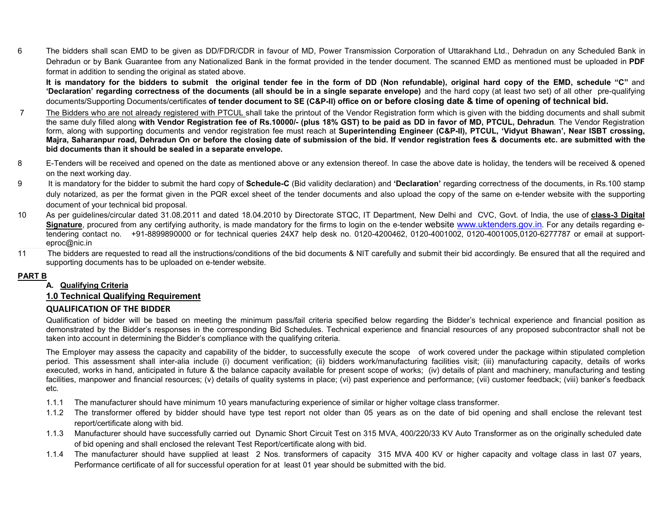6 The bidders shall scan EMD to be given as DD/FDR/CDR in favour of MD, Power Transmission Corporation of Uttarakhand Ltd., Dehradun on any Scheduled Bank in Dehradun or by Bank Guarantee from any Nationalized Bank in the format provided in the tender document. The scanned EMD as mentioned must be uploaded in PDF format in addition to sending the original as stated above.

It is mandatory for the bidders to submit the original tender fee in the form of DD (Non refundable), original hard copy of the EMD, schedule "C" and 'Declaration' regarding correctness of the documents (all should be in a single separate envelope) and the hard copy (at least two set) of all other pre-qualifying documents/Supporting Documents/certificates of tender document to SE (C&P-II) office on or before closing date & time of opening of technical bid.

- 7 The Bidders who are not already registered with PTCUL shall take the printout of the Vendor Registration form which is given with the bidding documents and shall submit the same duly filled along with Vendor Registration fee of Rs.10000/- (plus 18% GST) to be paid as DD in favor of MD, PTCUL, Dehradun. The Vendor Registration form, along with supporting documents and vendor registration fee must reach at Superintending Engineer (C&P-II), PTCUL, 'Vidyut Bhawan', Near ISBT crossing, Majra, Saharanpur road, Dehradun On or before the closing date of submission of the bid. If vendor registration fees & documents etc. are submitted with the bid documents than it should be sealed in a separate envelope.
- 8 E-Tenders will be received and opened on the date as mentioned above or any extension thereof. In case the above date is holiday, the tenders will be received & opened on the next working day.
- 9 It is mandatory for the bidder to submit the hard copy of **Schedule-C** (Bid validity declaration) and 'Declaration' regarding correctness of the documents, in Rs.100 stamp duly notarized, as per the format given in the PQR excel sheet of the tender documents and also upload the copy of the same on e-tender website with the supporting document of your technical bid proposal.
- 10 As per guidelines/circular dated 31.08.2011 and dated 18.04.2010 by Directorate STQC, IT Department, New Delhi and CVC, Govt. of India, the use of class-3 Digital Signature, procured from any certifying authority, is made mandatory for the firms to login on the e-tender website www.uktenders.gov.in. For any details regarding etendering contact no. +91-8899890000 or for technical queries 24X7 help desk no. 0120-4200462, 0120-4001002, 0120-4001005,0120-6277787 or email at supporteproc@nic.in
- 11 The bidders are requested to read all the instructions/conditions of the bid documents & NIT carefully and submit their bid accordingly. Be ensured that all the required and supporting documents has to be uploaded on e-tender website.

#### PART B

### A. Qualifying Criteria

### 1.0 Technical Qualifying Requirement

### QUALIFICATION OF THE BIDDER

Qualification of bidder will be based on meeting the minimum pass/fail criteria specified below regarding the Bidder's technical experience and financial position as demonstrated by the Bidder's responses in the corresponding Bid Schedules. Technical experience and financial resources of any proposed subcontractor shall not be taken into account in determining the Bidder's compliance with the qualifying criteria.

The Employer may assess the capacity and capability of the bidder, to successfully execute the scope of work covered under the package within stipulated completion period. This assessment shall inter-alia include (i) document verification; (ii) bidders work/manufacturing facilities visit; (iii) manufacturing capacity, details of works executed, works in hand, anticipated in future & the balance capacity available for present scope of works; (iv) details of plant and machinery, manufacturing and testing facilities, manpower and financial resources; (v) details of quality systems in place; (vi) past experience and performance; (vii) customer feedback; (viii) banker's feedback etc.

- 1.1.1 The manufacturer should have minimum 10 years manufacturing experience of similar or higher voltage class transformer.
- 1.1.2 The transformer offered by bidder should have type test report not older than 05 years as on the date of bid opening and shall enclose the relevant test report/certificate along with bid.
- 1.1.3 Manufacturer should have successfully carried out Dynamic Short Circuit Test on 315 MVA, 400/220/33 KV Auto Transformer as on the originally scheduled date of bid opening and shall enclosed the relevant Test Report/certificate along with bid.
- 1.1.4 The manufacturer should have supplied at least 2 Nos. transformers of capacity 315 MVA 400 KV or higher capacity and voltage class in last 07 years, Performance certificate of all for successful operation for at least 01 year should be submitted with the bid.